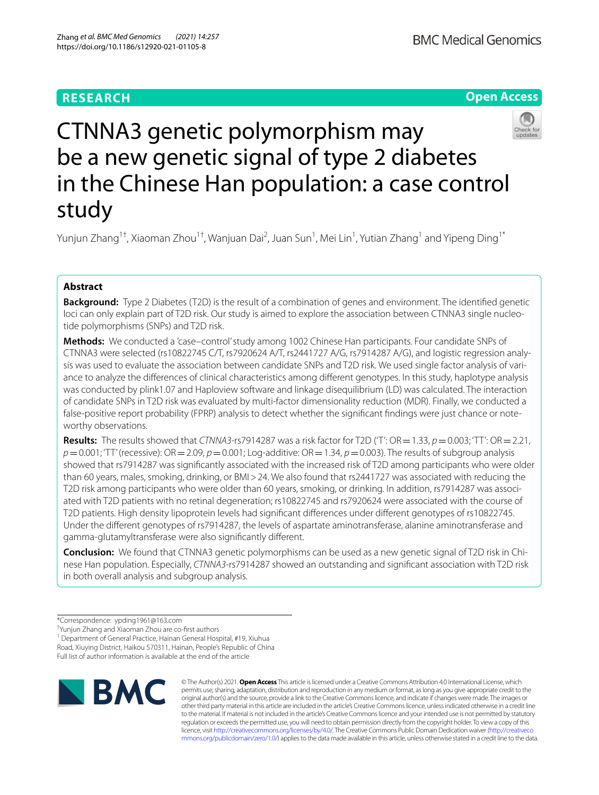# **RESEARCH**





# CTNNA3 genetic polymorphism may be a new genetic signal of type 2 diabetes in the Chinese Han population: a case control study

Yunjun Zhang<sup>1†</sup>, Xiaoman Zhou<sup>1†</sup>, Wanjuan Dai<sup>2</sup>, Juan Sun<sup>1</sup>, Mei Lin<sup>1</sup>, Yutian Zhang<sup>1</sup> and Yipeng Ding<sup>1\*</sup>

# **Abstract**

**Background:** Type 2 Diabetes (T2D) is the result of a combination of genes and environment. The identifed genetic loci can only explain part of T2D risk. Our study is aimed to explore the association between CTNNA3 single nucleotide polymorphisms (SNPs) and T2D risk.

**Methods:** We conducted a 'case–control' study among 1002 Chinese Han participants. Four candidate SNPs of CTNNA3 were selected (rs10822745 C/T, rs7920624 A/T, rs2441727 A/G, rs7914287 A/G), and logistic regression analysis was used to evaluate the association between candidate SNPs and T2D risk. We used single factor analysis of variance to analyze the diferences of clinical characteristics among diferent genotypes. In this study, haplotype analysis was conducted by plink1.07 and Haploview software and linkage disequilibrium (LD) was calculated. The interaction of candidate SNPs in T2D risk was evaluated by multi-factor dimensionality reduction (MDR). Finally, we conducted a false-positive report probability (FPRP) analysis to detect whether the signifcant fndings were just chance or noteworthy observations.

**Results:** The results showed that *CTNNA3*-rs7914287 was a risk factor for T2D ('T':  $OR = 1.33$ ,  $p = 0.003$ ; 'TT':  $OR = 2.21$ ,  $p=0.001$ ; 'TT' (recessive): OR = 2.09,  $p=0.001$ ; Log-additive: OR = 1.34,  $p=0.003$ ). The results of subgroup analysis showed that rs7914287 was signifcantly associated with the increased risk of T2D among participants who were older than 60 years, males, smoking, drinking, or BMI>24. We also found that rs2441727 was associated with reducing the T2D risk among participants who were older than 60 years, smoking, or drinking. In addition, rs7914287 was associated with T2D patients with no retinal degeneration; rs10822745 and rs7920624 were associated with the course of T2D patients. High density lipoprotein levels had signifcant diferences under diferent genotypes of rs10822745. Under the diferent genotypes of rs7914287, the levels of aspartate aminotransferase, alanine aminotransferase and gamma-glutamyltransferase were also signifcantly diferent.

**Conclusion:** We found that CTNNA3 genetic polymorphisms can be used as a new genetic signal of T2D risk in Chinese Han population. Especially, *CTNNA3*-rs7914287 showed an outstanding and signifcant association with T2D risk in both overall analysis and subgroup analysis.

† Yunjun Zhang and Xiaoman Zhou are co-frst authors

<sup>1</sup> Department of General Practice, Hainan General Hospital, #19, Xiuhua Road, Xiuying District, Haikou 570311, Hainan, People's Republic of China

Full list of author information is available at the end of the article



© The Author(s) 2021. **Open Access** This article is licensed under a Creative Commons Attribution 4.0 International License, which permits use, sharing, adaptation, distribution and reproduction in any medium or format, as long as you give appropriate credit to the original author(s) and the source, provide a link to the Creative Commons licence, and indicate if changes were made. The images or other third party material in this article are included in the article's Creative Commons licence, unless indicated otherwise in a credit line to the material. If material is not included in the article's Creative Commons licence and your intended use is not permitted by statutory regulation or exceeds the permitted use, you will need to obtain permission directly from the copyright holder. To view a copy of this licence, visit [http://creativecommons.org/licenses/by/4.0/.](http://creativecommons.org/licenses/by/4.0/) The Creative Commons Public Domain Dedication waiver ([http://creativeco](http://creativecommons.org/publicdomain/zero/1.0/) [mmons.org/publicdomain/zero/1.0/](http://creativecommons.org/publicdomain/zero/1.0/)) applies to the data made available in this article, unless otherwise stated in a credit line to the data.

<sup>\*</sup>Correspondence: ypding1961@163.com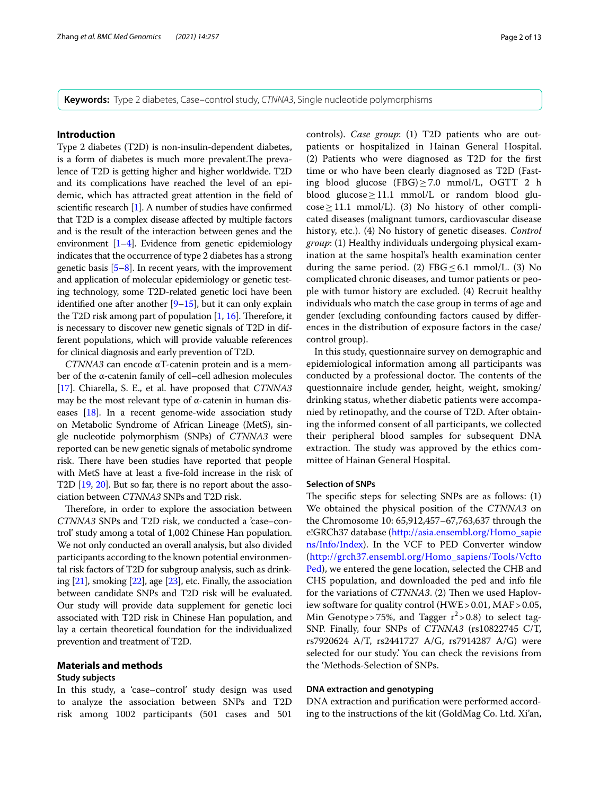**Keywords:** Type 2 diabetes, Case–control study, *CTNNA3*, Single nucleotide polymorphisms

# **Introduction**

Type 2 diabetes (T2D) is non-insulin-dependent diabetes, is a form of diabetes is much more prevalent. The prevalence of T2D is getting higher and higher worldwide. T2D and its complications have reached the level of an epidemic, which has attracted great attention in the feld of scientifc research [\[1\]](#page-11-0). A number of studies have confrmed that T2D is a complex disease afected by multiple factors and is the result of the interaction between genes and the environment  $[1-4]$  $[1-4]$  $[1-4]$ . Evidence from genetic epidemiology indicates that the occurrence of type 2 diabetes has a strong genetic basis  $[5-8]$  $[5-8]$ . In recent years, with the improvement and application of molecular epidemiology or genetic testing technology, some T2D-related genetic loci have been identified one after another  $[9-15]$  $[9-15]$ , but it can only explain the T2D risk among part of population  $[1, 16]$  $[1, 16]$  $[1, 16]$  $[1, 16]$  $[1, 16]$ . Therefore, it is necessary to discover new genetic signals of T2D in different populations, which will provide valuable references for clinical diagnosis and early prevention of T2D.

*CTNNA3* can encode αT-catenin protein and is a member of the α-catenin family of cell–cell adhesion molecules [[17](#page-11-7)]. Chiarella, S. E., et al. have proposed that *CTNNA3* may be the most relevant type of α-catenin in human diseases [[18](#page-11-8)]. In a recent genome-wide association study on Metabolic Syndrome of African Lineage (MetS), single nucleotide polymorphism (SNPs) of *CTNNA3* were reported can be new genetic signals of metabolic syndrome risk. There have been studies have reported that people with MetS have at least a fve-fold increase in the risk of T2D [[19](#page-11-9), [20\]](#page-11-10). But so far, there is no report about the association between *CTNNA3* SNPs and T2D risk.

Therefore, in order to explore the association between *CTNNA3* SNPs and T2D risk, we conducted a 'case–control' study among a total of 1,002 Chinese Han population. We not only conducted an overall analysis, but also divided participants according to the known potential environmental risk factors of T2D for subgroup analysis, such as drinking  $[21]$  $[21]$  $[21]$ , smoking  $[22]$ , age  $[23]$ , etc. Finally, the association between candidate SNPs and T2D risk will be evaluated. Our study will provide data supplement for genetic loci associated with T2D risk in Chinese Han population, and lay a certain theoretical foundation for the individualized prevention and treatment of T2D.

# **Materials and methods**

# **Study subjects**

In this study, a 'case–control' study design was used to analyze the association between SNPs and T2D risk among 1002 participants (501 cases and 501

controls). *Case group*: (1) T2D patients who are outpatients or hospitalized in Hainan General Hospital. (2) Patients who were diagnosed as T2D for the frst time or who have been clearly diagnosed as T2D (Fasting blood glucose (FBG)≥7.0 mmol/L, OGTT 2 h blood glucose $\geq$ 11.1 mmol/L or random blood glucose≥11.1 mmol/L). (3) No history of other complicated diseases (malignant tumors, cardiovascular disease history, etc.). (4) No history of genetic diseases. *Control group*: (1) Healthy individuals undergoing physical examination at the same hospital's health examination center during the same period. (2)  $FBG \leq 6.1$  mmol/L. (3) No complicated chronic diseases, and tumor patients or people with tumor history are excluded. (4) Recruit healthy individuals who match the case group in terms of age and gender (excluding confounding factors caused by diferences in the distribution of exposure factors in the case/ control group).

In this study, questionnaire survey on demographic and epidemiological information among all participants was conducted by a professional doctor. The contents of the questionnaire include gender, height, weight, smoking/ drinking status, whether diabetic patients were accompanied by retinopathy, and the course of T2D. After obtaining the informed consent of all participants, we collected their peripheral blood samples for subsequent DNA extraction. The study was approved by the ethics committee of Hainan General Hospital.

#### **Selection of SNPs**

The specific steps for selecting SNPs are as follows:  $(1)$ We obtained the physical position of the *CTNNA3* on the Chromosome 10: 65,912,457–67,763,637 through the e!GRCh37 database ([http://asia.ensembl.org/Homo\\_sapie](http://asia.ensembl.org/Homo_sapiens/Info/Index) [ns/Info/Index](http://asia.ensembl.org/Homo_sapiens/Info/Index)). In the VCF to PED Converter window ([http://grch37.ensembl.org/Homo\\_sapiens/Tools/Vcfto](http://grch37.ensembl.org/Homo_sapiens/Tools/VcftoPed) [Ped\)](http://grch37.ensembl.org/Homo_sapiens/Tools/VcftoPed), we entered the gene location, selected the CHB and CHS population, and downloaded the ped and info fle for the variations of *CTNNA3*. (2) Then we used Haploview software for quality control (HWE>0.01, MAF>0.05, Min Genotype > 75%, and Tagger  $r^2$  > 0.8) to select tag-SNP. Finally, four SNPs of *CTNNA3* (rs10822745 C/T, rs7920624 A/T, rs2441727 A/G, rs7914287 A/G) were selected for our study.' You can check the revisions from the 'Methods-Selection of SNPs.

# **DNA extraction and genotyping**

DNA extraction and purifcation were performed according to the instructions of the kit (GoldMag Co. Ltd. Xi'an,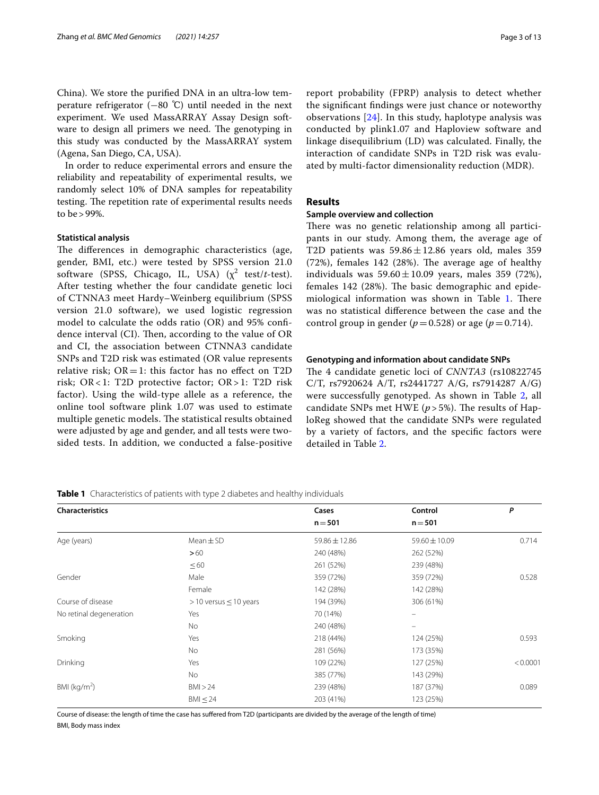China). We store the purifed DNA in an ultra-low temperature refrigerator  $(-80 \degree C)$  until needed in the next experiment. We used MassARRAY Assay Design software to design all primers we need. The genotyping in this study was conducted by the MassARRAY system (Agena, San Diego, CA, USA).

In order to reduce experimental errors and ensure the reliability and repeatability of experimental results, we randomly select 10% of DNA samples for repeatability testing. The repetition rate of experimental results needs to be>99%.

# **Statistical analysis**

The differences in demographic characteristics (age, gender, BMI, etc.) were tested by SPSS version 21.0 software (SPSS, Chicago, IL, USA)  $(\chi^2 \text{ test}/t\text{-test})$ . After testing whether the four candidate genetic loci of CTNNA3 meet Hardy–Weinberg equilibrium (SPSS version 21.0 software), we used logistic regression model to calculate the odds ratio (OR) and 95% confdence interval (CI). Then, according to the value of OR and CI, the association between CTNNA3 candidate SNPs and T2D risk was estimated (OR value represents relative risk;  $OR = 1$ : this factor has no effect on T2D risk; OR< 1: T2D protective factor; OR> 1: T2D risk factor). Using the wild-type allele as a reference, the online tool software plink 1.07 was used to estimate multiple genetic models. The statistical results obtained were adjusted by age and gender, and all tests were twosided tests. In addition, we conducted a false-positive

report probability (FPRP) analysis to detect whether the signifcant fndings were just chance or noteworthy observations [[24\]](#page-11-14). In this study, haplotype analysis was conducted by plink1.07 and Haploview software and linkage disequilibrium (LD) was calculated. Finally, the interaction of candidate SNPs in T2D risk was evaluated by multi-factor dimensionality reduction (MDR).

# **Results**

#### **Sample overview and collection**

There was no genetic relationship among all participants in our study. Among them, the average age of T2D patients was  $59.86 \pm 12.86$  years old, males 359  $(72%)$ , females 142  $(28%)$ . The average age of healthy individuals was  $59.60 \pm 10.09$  years, males 359 (72%), females 142 (28%). The basic demographic and epide-miological information was shown in Table [1.](#page-2-0) There was no statistical diference between the case and the control group in gender ( $p=0.528$ ) or age ( $p=0.714$ ).

### **Genotyping and information about candidate SNPs**

The 4 candidate genetic loci of *CNNTA3* (rs10822745 C/T, rs7920624 A/T, rs2441727 A/G, rs7914287 A/G) were successfully genotyped. As shown in Table [2,](#page-3-0) all candidate SNPs met HWE ( $p > 5\%$ ). The results of HaploReg showed that the candidate SNPs were regulated by a variety of factors, and the specifc factors were detailed in Table [2](#page-3-0).

<span id="page-2-0"></span>**Table 1** Characteristics of patients with type 2 diabetes and healthy individuals

| <b>Characteristics</b>  |                               | Cases         | Control       | P        |
|-------------------------|-------------------------------|---------------|---------------|----------|
|                         |                               | $n = 501$     | $n = 501$     |          |
| Age (years)             | $Mean \pm SD$                 | 59.86 ± 12.86 | 59.60 ± 10.09 | 0.714    |
|                         | >60                           | 240 (48%)     | 262 (52%)     |          |
|                         | $\leq 60$                     | 261 (52%)     | 239 (48%)     |          |
| Gender                  | Male                          | 359 (72%)     | 359 (72%)     | 0.528    |
|                         | Female                        | 142 (28%)     | 142 (28%)     |          |
| Course of disease       | $>$ 10 versus $\leq$ 10 years | 194 (39%)     | 306 (61%)     |          |
| No retinal degeneration | Yes                           | 70 (14%)      |               |          |
|                         | No                            | 240 (48%)     |               |          |
| Smoking                 | Yes                           | 218 (44%)     | 124 (25%)     | 0.593    |
|                         | No                            | 281 (56%)     | 173 (35%)     |          |
| Drinking                | Yes                           | 109 (22%)     | 127 (25%)     | < 0.0001 |
|                         | <b>No</b>                     | 385 (77%)     | 143 (29%)     |          |
| BMI ( $kg/m2$ )         | BMI > 24                      | 239 (48%)     | 187 (37%)     | 0.089    |
|                         | $BM \leq 24$                  | 203 (41%)     | 123 (25%)     |          |

Course of disease: the length of time the case has sufered from T2D (participants are divided by the average of the length of time) BMI, Body mass index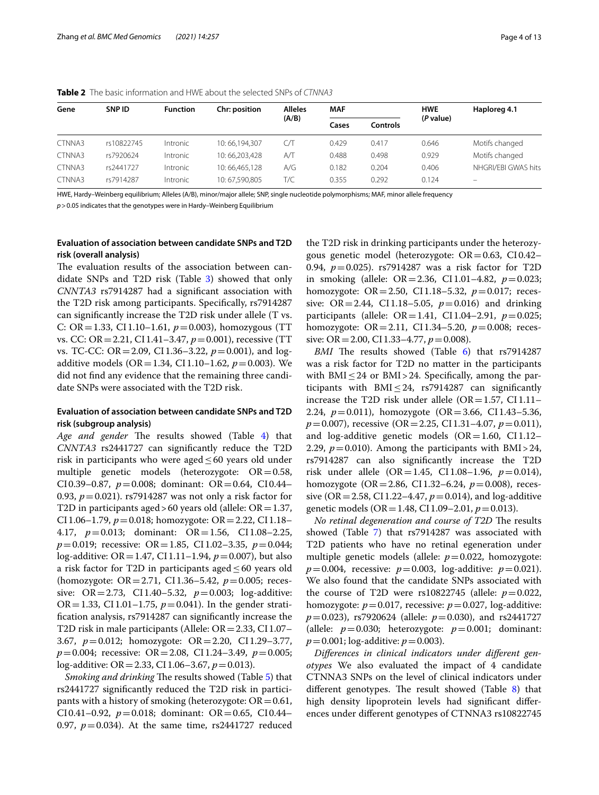| Gene   | SNP ID     | <b>Function</b> | Chr: position | <b>Alleles</b> | <b>MAF</b> |          | <b>HWE</b> | Haploreg 4.1        |
|--------|------------|-----------------|---------------|----------------|------------|----------|------------|---------------------|
|        |            |                 |               | (A/B)          | Cases      | Controls | (P value)  |                     |
| CTNNA3 | rs10822745 | Intronic        | 10:66.194.307 | СЛ             | 0.429      | 0.417    | 0.646      | Motifs changed      |
| CTNNA3 | rs7920624  | Intronic        | 10:66.203.428 | $A/\mathsf{T}$ | 0.488      | 0.498    | 0.929      | Motifs changed      |
| CTNNA3 | rs2441727  | Intronic        | 10:66,465,128 | A/G            | 0.182      | 0.204    | 0.406      | NHGRI/EBI GWAS hits |
| CTNNA3 | rs7914287  | Intronic        | 10:67,590,805 | T/C            | 0.355      | 0.292    | 0.124      | $\qquad \qquad =$   |

<span id="page-3-0"></span>**Table 2** The basic information and HWE about the selected SNPs of *CTNNA3*

HWE, Hardy–Weinberg equilibrium; Alleles (A/B), minor/major allele; SNP, single nucleotide polymorphisms; MAF, minor allele frequency

*p*>0.05 indicates that the genotypes were in Hardy–Weinberg Equilibrium

# **Evaluation of association between candidate SNPs and T2D risk (overall analysis)**

The evaluation results of the association between candidate SNPs and T2D risk (Table [3](#page-4-0)) showed that only *CNNTA3* rs7914287 had a signifcant association with the T2D risk among participants. Specifcally, rs7914287 can signifcantly increase the T2D risk under allele (T vs. C: OR=1.33, CI1.10–1.61, *p*=0.003), homozygous (TT vs. CC: OR=2.21, CI1.41–3.47, *p*=0.001), recessive (TT vs. TC-CC: OR=2.09, CI1.36–3.22, *p*=0.001), and logadditive models (OR = 1.34, CI1.10–1.62,  $p = 0.003$ ). We did not fnd any evidence that the remaining three candidate SNPs were associated with the T2D risk.

# **Evaluation of association between candidate SNPs and T2D risk (subgroup analysis)**

*Age and gender* The results showed (Table [4](#page-5-0)) that *CNNTA3* rs2441727 can signifcantly reduce the T2D risk in participants who were aged  $\leq 60$  years old under multiple genetic models (heterozygote:  $OR = 0.58$ , CI0.39–0.87, *p*=0.008; dominant: OR=0.64, CI0.44– 0.93, *p*=0.021). rs7914287 was not only a risk factor for T2D in participants aged > 60 years old (allele:  $OR = 1.37$ , CI1.06–1.79,  $p = 0.018$ ; homozygote: OR = 2.22, CI1.18– 4.17, *p*=0.013; dominant: OR=1.56, CI1.08–2.25, *p*=0.019; recessive: OR=1.85, CI1.02–3.35, *p*=0.044; log-additive: OR=1.47, CI1.11–1.94, *p*=0.007), but also a risk factor for T2D in participants aged≤60 years old (homozygote: OR=2.71, CI1.36–5.42, *p*=0.005; recessive: OR=2.73, CI1.40–5.32, *p*=0.003; log-additive: OR=1.33, CI1.01–1.75,  $p=0.041$ ). In the gender stratifcation analysis, rs7914287 can signifcantly increase the T2D risk in male participants (Allele:  $OR = 2.33$ , CI1.07– 3.67, *p*=0.012; homozygote: OR=2.20, CI1.29–3.77, *p*=0.004; recessive: OR=2.08, CI1.24–3.49, *p*=0.005; log-additive: OR=2.33, CI1.06–3.67, *p*=0.013).

*Smoking and drinking* The results showed (Table [5\)](#page-6-0) that rs2441727 signifcantly reduced the T2D risk in participants with a history of smoking (heterozygote:  $OR = 0.61$ , CI0.41–0.92,  $p=0.018$ ; dominant: OR=0.65, CI0.44– 0.97,  $p = 0.034$ ). At the same time, rs2441727 reduced the T2D risk in drinking participants under the heterozygous genetic model (heterozygote:  $OR = 0.63$ ,  $CI 0.42-$ 0.94, *p*=0.025). rs7914287 was a risk factor for T2D in smoking (allele:  $OR = 2.36$ ,  $CI 1.01 - 4.82$ ,  $p = 0.023$ ; homozygote: OR=2.50, CI1.18–5.32, *p*=0.017; recessive:  $OR = 2.44$ ,  $CI 1.18 - 5.05$ ,  $p = 0.016$ ) and drinking participants (allele: OR=1.41, CI1.04–2.91, *p*=0.025; homozygote: OR=2.11, CI1.34–5.20, *p*=0.008; recessive: OR = 2.00, CI 1.33-4.77,  $p = 0.008$ ).

*BMI* The results showed (Table [6](#page-7-0)) that rs7914287 was a risk factor for T2D no matter in the participants with BMI $\leq$ 24 or BMI $>$ 24. Specifically, among the participants with BMI $\leq$ 24, rs7914287 can significantly increase the T2D risk under allele ( $OR = 1.57$ , CI1.11– 2.24, *p*=0.011), homozygote (OR=3.66, CI1.43–5.36, *p*=0.007), recessive (OR=2.25, CI1.31–4.07, *p*=0.011), and log-additive genetic models  $(OR=1.60, CI1.12-$ 2.29,  $p = 0.010$ ). Among the participants with BMI > 24, rs7914287 can also signifcantly increase the T2D risk under allele (OR=1.45, CI1.08–1.96, *p*=0.014), homozygote (OR=2.86, CI1.32–6.24, *p*=0.008), recessive (OR = 2.58, CI 1.22–4.47,  $p = 0.014$ ), and log-additive genetic models (OR=1.48, CI1.09–2.01, *p*=0.013).

*No retinal degeneration and course of T2D* The results showed (Table [7](#page-8-0)) that rs7914287 was associated with T2D patients who have no retinal egeneration under multiple genetic models (allele:  $p=0.022$ , homozygote:  $p = 0.004$ , recessive:  $p = 0.003$ , log-additive:  $p = 0.021$ ). We also found that the candidate SNPs associated with the course of T2D were  $rs10822745$  (allele:  $p=0.022$ , homozygote:  $p = 0.017$ , recessive:  $p = 0.027$ , log-additive: *p*=0.023), rs7920624 (allele: *p*=0.030), and rs2441727 (allele:  $p=0.030$ ; heterozygote:  $p=0.001$ ; dominant: *p*=0.001; log-additive: *p*=0.003).

*Diferences in clinical indicators under diferent genotypes* We also evaluated the impact of 4 candidate CTNNA3 SNPs on the level of clinical indicators under different genotypes. The result showed (Table  $8$ ) that high density lipoprotein levels had signifcant diferences under diferent genotypes of CTNNA3 rs10822745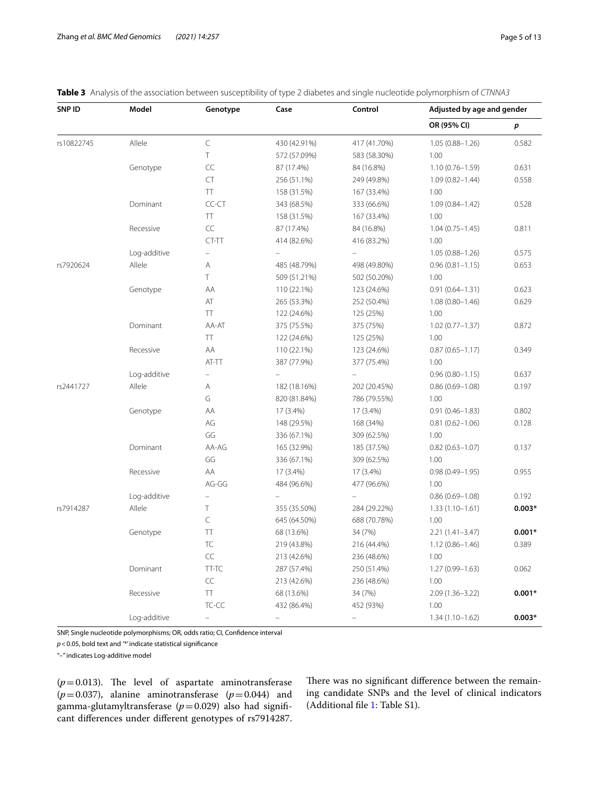| SNP ID     | Model        | Genotype       | Case         | Control      | Adjusted by age and gender |          |
|------------|--------------|----------------|--------------|--------------|----------------------------|----------|
|            |              |                |              |              | OR (95% CI)                | p        |
| rs10822745 | Allele       | $\subset$      | 430 (42.91%) | 417 (41.70%) | $1.05(0.88 - 1.26)$        | 0.582    |
|            |              | T              | 572 (57.09%) | 583 (58.30%) | 1.00                       |          |
|            | Genotype     | CC             | 87 (17.4%)   | 84 (16.8%)   | $1.10(0.76 - 1.59)$        | 0.631    |
|            |              | <b>CT</b>      | 256 (51.1%)  | 249 (49.8%)  | $1.09(0.82 - 1.44)$        | 0.558    |
|            |              | TT             | 158 (31.5%)  | 167 (33.4%)  | 1.00                       |          |
|            | Dominant     | CC-CT          | 343 (68.5%)  | 333 (66.6%)  | $1.09(0.84 - 1.42)$        | 0.528    |
|            |              | TT             | 158 (31.5%)  | 167 (33.4%)  | 1.00                       |          |
|            | Recessive    | CC             | 87 (17.4%)   | 84 (16.8%)   | $1.04(0.75 - 1.45)$        | 0.811    |
|            |              | CT-TT          | 414 (82.6%)  | 416 (83.2%)  | 1.00                       |          |
|            | Log-additive | $\overline{a}$ |              |              | $1.05(0.88 - 1.26)$        | 0.575    |
| rs7920624  | Allele       | Α              | 485 (48.79%) | 498 (49.80%) | $0.96(0.81 - 1.15)$        | 0.653    |
|            |              | T.             | 509 (51.21%) | 502 (50.20%) | 1.00                       |          |
|            | Genotype     | AA             | 110 (22.1%)  | 123 (24.6%)  | $0.91(0.64 - 1.31)$        | 0.623    |
|            |              | AT             | 265 (53.3%)  | 252 (50.4%)  | $1.08(0.80 - 1.46)$        | 0.629    |
|            |              | TT             | 122 (24.6%)  | 125 (25%)    | 1.00                       |          |
|            | Dominant     | AA-AT          | 375 (75.5%)  | 375 (75%)    | $1.02(0.77 - 1.37)$        | 0.872    |
|            |              | TT             | 122 (24.6%)  | 125 (25%)    | 1.00                       |          |
|            | Recessive    | AA             | 110 (22.1%)  | 123 (24.6%)  | $0.87(0.65 - 1.17)$        | 0.349    |
|            |              | AT-TT          | 387 (77.9%)  | 377 (75.4%)  | 1.00                       |          |
|            | Log-additive | $\equiv$       |              |              | $0.96(0.80 - 1.15)$        | 0.637    |
| rs2441727  | Allele       | Α              | 182 (18.16%) | 202 (20.45%) | $0.86(0.69 - 1.08)$        | 0.197    |
|            |              | G              | 820 (81.84%) | 786 (79.55%) | 1.00                       |          |
|            | Genotype     | AA             | 17 (3.4%)    | 17 (3.4%)    | $0.91(0.46 - 1.83)$        | 0.802    |
|            |              | AG             | 148 (29.5%)  | 168 (34%)    | $0.81(0.62 - 1.06)$        | 0.128    |
|            |              | GG             | 336 (67.1%)  | 309 (62.5%)  | 1.00                       |          |
|            | Dominant     | AA-AG          | 165 (32.9%)  | 185 (37.5%)  | $0.82(0.63 - 1.07)$        | 0.137    |
|            |              | GG             | 336 (67.1%)  | 309 (62.5%)  | 1.00                       |          |
|            | Recessive    | AA             | 17 (3.4%)    | 17 (3.4%)    | $0.98(0.49 - 1.95)$        | 0.955    |
|            |              | AG-GG          | 484 (96.6%)  | 477 (96.6%)  | 1.00                       |          |
|            | Log-additive | $\equiv$       |              |              | $0.86(0.69 - 1.08)$        | 0.192    |
| rs7914287  | Allele       | Τ              | 355 (35.50%) | 284 (29.22%) | $1.33(1.10-1.61)$          | $0.003*$ |
|            |              | C              | 645 (64.50%) | 688 (70.78%) | 1.00                       |          |
|            | Genotype     | TT             | 68 (13.6%)   | 34 (7%)      | $2.21(1.41 - 3.47)$        | $0.001*$ |
|            |              | TC             | 219 (43.8%)  | 216 (44.4%)  | $1.12(0.86 - 1.46)$        | 0.389    |
|            |              | CC             | 213 (42.6%)  | 236 (48.6%)  | 1.00                       |          |
|            | Dominant     | TT-TC          | 287 (57.4%)  | 250 (51.4%)  | $1.27(0.99 - 1.63)$        | 0.062    |
|            |              | CC             | 213 (42.6%)  | 236 (48.6%)  | 1.00                       |          |
|            | Recessive    | TT             | 68 (13.6%)   | 34 (7%)      | $2.09(1.36 - 3.22)$        | $0.001*$ |
|            |              | TC-CC          | 432 (86.4%)  | 452 (93%)    | 1.00                       |          |
|            | Log-additive | $\equiv$       | $\equiv$     | $\equiv$     | $1.34(1.10-1.62)$          | $0.003*$ |

<span id="page-4-0"></span>**Table 3** Analysis of the association between susceptibility of type 2 diabetes and single nucleotide polymorphism of *CTNNA3*

SNP, Single nucleotide polymorphisms; OR, odds ratio; CI, Confdence interval

*p*<0.05, bold text and '\*' indicate statistical signifcance

"–" indicates Log-additive model

 $(p=0.013)$ . The level of aspartate aminotransferase  $(p=0.037)$ , alanine aminotransferase  $(p=0.044)$  and gamma-glutamyltransferase ( $p=0.029$ ) also had significant diferences under diferent genotypes of rs7914287.

There was no significant difference between the remaining candidate SNPs and the level of clinical indicators (Additional fle [1](#page-10-0): Table S1).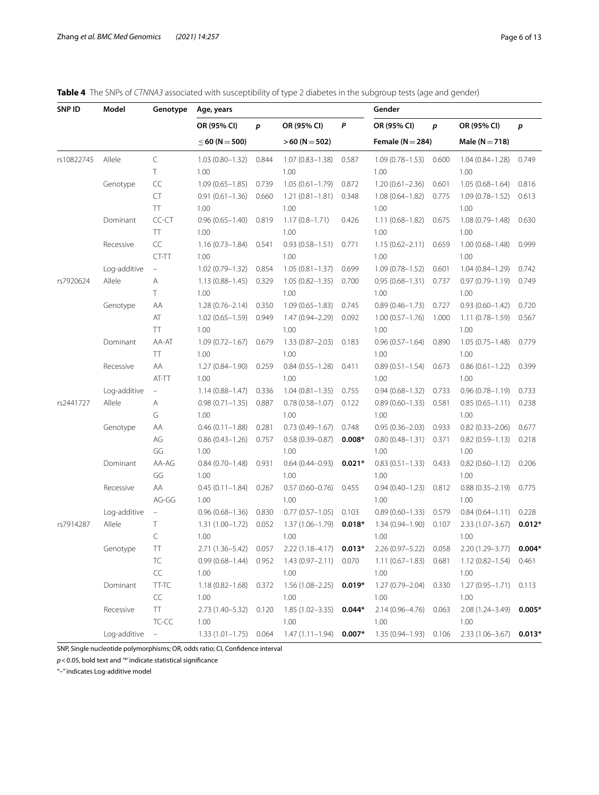<span id="page-5-0"></span>

|  |  | Table 4 The SNPs of CTNNA3 associated with susceptibility of type 2 diabetes in the subgroup tests (age and gender) |  |  |  |  |  |  |  |
|--|--|---------------------------------------------------------------------------------------------------------------------|--|--|--|--|--|--|--|
|--|--|---------------------------------------------------------------------------------------------------------------------|--|--|--|--|--|--|--|

| SNP ID     | Model        | Genotype                  | Age, years                |       |                                                     |          | Gender                                                                                                                |       |                                               |          |
|------------|--------------|---------------------------|---------------------------|-------|-----------------------------------------------------|----------|-----------------------------------------------------------------------------------------------------------------------|-------|-----------------------------------------------|----------|
|            |              |                           | OR (95% CI)               | p     | OR (95% CI)                                         | P        | OR (95% CI)                                                                                                           | p     | OR (95% CI)                                   | p        |
|            |              |                           | $\leq$ 60 (N = 500)       |       | $>60 (N = 502)$                                     |          | Female ( $N = 284$ )                                                                                                  |       | Male ( $N = 718$ )                            |          |
| rs10822745 | Allele       | $\subset$                 | $1.03(0.80 - 1.32)$       | 0.844 | $1.07(0.83 - 1.38)$                                 | 0.587    | $1.09(0.78 - 1.53)$                                                                                                   | 0.600 | $1.04(0.84 - 1.28)$                           | 0.749    |
|            |              | Τ                         | 1.00                      |       | 1.00                                                |          | 1.00                                                                                                                  |       | 1.00                                          |          |
|            | Genotype     | $\subset\subset$          | $1.09(0.65 - 1.85)$       | 0.739 | $1.05(0.61 - 1.79)$                                 | 0.872    | $1.20(0.61 - 2.36)$                                                                                                   | 0.601 | $1.05(0.68 - 1.64)$                           | 0.816    |
|            |              | CT                        | $0.91(0.61 - 1.36)$       | 0.660 | $1.21(0.81 - 1.81)$                                 | 0.348    | $1.08(0.64 - 1.82)$                                                                                                   | 0.775 | $1.09(0.78 - 1.52)$                           | 0.613    |
|            |              | TT                        | 1.00                      |       | 1.00                                                |          | 1.00                                                                                                                  |       | 1.00                                          |          |
|            | Dominant     | CC-CT                     | $0.96(0.65 - 1.40)$       | 0.819 | $1.17(0.8 - 1.71)$                                  | 0.426    | $1.11(0.68 - 1.82)$                                                                                                   | 0.675 | $1.08(0.79 - 1.48)$                           | 0.630    |
|            |              | TT                        | 1.00                      |       | 1.00                                                |          | 1.00                                                                                                                  |       | 1.00                                          |          |
|            | Recessive    | $\subset\subset$          | $1.16(0.73 - 1.84)$       | 0.541 | $0.93(0.58 - 1.51)$                                 | 0.771    | $1.15(0.62 - 2.11)$                                                                                                   | 0.659 | $1.00(0.68 - 1.48)$                           | 0.999    |
|            |              | CT-TT                     | 1.00                      |       | 1.00                                                |          | 1.00                                                                                                                  |       | 1.00                                          |          |
|            | Log-additive | $\equiv$                  | $1.02(0.79 - 1.32)$       | 0.854 | $1.05(0.81 - 1.37)$                                 | 0.699    | $1.09(0.78 - 1.52)$                                                                                                   | 0.601 | $1.04(0.84 - 1.29)$                           | 0.742    |
| rs7920624  | Allele       | Α                         | $1.13(0.88 - 1.45)$       | 0.329 | $1.05(0.82 - 1.35)$                                 | 0.700    | $0.95(0.68 - 1.31)$                                                                                                   | 0.737 | $0.97(0.79 - 1.19)$                           | 0.749    |
|            |              | Τ                         | 1.00                      |       | 1.00                                                |          | 1.00                                                                                                                  |       | 1.00                                          |          |
|            | Genotype     | ΑA                        | $1.28(0.76 - 2.14)$       | 0.350 | $1.09(0.65 - 1.83)$                                 | 0.745    | $0.89(0.46 - 1.73)$                                                                                                   | 0.727 | $0.93(0.60 - 1.42)$                           | 0.720    |
|            |              | AT                        | $1.02(0.65 - 1.59)$       | 0.949 | 1.47 (0.94-2.29)                                    | 0.092    | $1.00(0.57 - 1.76)$                                                                                                   | 1.000 | $1.11(0.78 - 1.59)$                           | 0.567    |
|            |              | TT                        | 1.00                      |       | 1.00                                                |          | 1.00                                                                                                                  |       | 1.00                                          |          |
|            | Dominant     | AA-AT                     | $1.09(0.72 - 1.67)$       | 0.679 | $1.33(0.87 - 2.03)$                                 | 0.183    | $0.96(0.57 - 1.64)$                                                                                                   | 0.890 | $1.05(0.75 - 1.48)$                           | 0.779    |
|            |              | TΤ                        | 1.00                      |       | 1.00                                                |          | 1.00                                                                                                                  |       | 1.00                                          |          |
|            | Recessive    | AA                        | $1.27(0.84 - 1.90)$       | 0.259 | $0.84(0.55 - 1.28)$                                 | 0.411    | $0.89(0.51 - 1.54)$                                                                                                   | 0.673 | $0.86(0.61 - 1.22)$                           | 0.399    |
|            |              | AT-TT                     | 1.00                      |       | 1.00                                                |          | 1.00                                                                                                                  |       | 1.00                                          |          |
|            | Log-additive | $\equiv$                  | $1.14(0.88 - 1.47)$       | 0.336 | $1.04(0.81 - 1.35)$                                 | 0.755    | $0.94(0.68 - 1.32)$                                                                                                   | 0.733 | $0.96(0.78 - 1.19)$                           | 0.733    |
| rs2441727  | Allele       | Α                         | $0.98(0.71 - 1.35)$       | 0.887 | $0.78(0.58 - 1.07)$                                 | 0.122    | $0.89(0.60 - 1.33)$                                                                                                   | 0.581 | $0.85(0.65 - 1.11)$                           | 0.238    |
|            |              | G                         | 1.00                      |       | 1.00                                                |          | 1.00                                                                                                                  |       | 1.00                                          |          |
|            | Genotype     | ΑA                        | $0.46(0.11 - 1.88)$       | 0.281 | $0.73(0.49 - 1.67)$                                 | 0.748    | $0.95(0.36 - 2.03)$                                                                                                   | 0.933 | $0.82(0.33 - 2.06)$                           | 0.677    |
|            |              | AG                        | $0.86(0.43 - 1.26)$       | 0.757 | $0.58(0.39 - 0.87)$                                 | $0.008*$ | $0.80(0.48 - 1.31)$                                                                                                   | 0.371 | $0.82(0.59 - 1.13)$                           | 0.218    |
|            |              | GG                        | 1.00                      |       | 1.00                                                |          | 1.00                                                                                                                  |       | 1.00                                          |          |
|            | Dominant     | AA-AG                     | $0.84(0.70 - 1.48)$       | 0.931 | $0.64(0.44 - 0.93)$                                 | $0.021*$ | $0.83(0.51 - 1.33)$                                                                                                   | 0.433 | $0.82(0.60 - 1.12)$                           | 0.206    |
|            |              | GG                        | 1.00                      |       | 1.00                                                |          | 1.00                                                                                                                  |       | 1.00                                          |          |
|            | Recessive    | AA                        | $0.45(0.11 - 1.84)$       | 0.267 | $0.57(0.60 - 0.76)$                                 | 0.455    | $0.94(0.40 - 1.23)$                                                                                                   | 0.812 | $0.88(0.35 - 2.19)$                           | 0.775    |
|            |              | AG-GG                     | 1.00                      |       | 1.00                                                |          | 1.00                                                                                                                  |       | 1.00                                          |          |
|            | Log-additive | ÷,                        | $0.96(0.68 - 1.36)$       | 0.830 | $0.77(0.57 - 1.05)$                                 | 0.103    | $0.89(0.60 - 1.33)$                                                                                                   | 0.579 | $0.84(0.64 - 1.11)$                           | 0.228    |
| rs7914287  | Allele       | Τ                         | $1.31(1.00 - 1.72)$       | 0.052 | $1.37(1.06 - 1.79)$                                 | $0.018*$ | $1.34(0.94 - 1.90)$                                                                                                   | 0.107 | $2.33(1.07 - 3.67)$                           | $0.012*$ |
|            |              | C                         | 1.00                      |       | 1.00                                                |          | 1.00                                                                                                                  |       | 1.00                                          |          |
|            | Genotype     | ТT                        | 2.71 (1.36-5.42) 0.057    |       | $2.22(1.18 - 4.17)$                                 | $0.013*$ | 2.26 (0.97-5.22) 0.058                                                                                                |       | $2.20(1.29 - 3.77)$                           | $0.004*$ |
|            |              | TC                        |                           |       | $0.99(0.68-1.44)$ $0.952$ $1.43(0.97-2.11)$ $0.070$ |          |                                                                                                                       |       | 1.11 (0.67-1.83) 0.681 1.12 (0.82-1.54) 0.461 |          |
|            |              | $\subset\subset$          | 1.00                      |       | 1.00                                                |          | 1.00                                                                                                                  |       | 1.00                                          |          |
|            | Dominant     | TT-TC                     | $1.18(0.82 - 1.68)$ 0.372 |       | $1.56(1.08 - 2.25)$ 0.019*                          |          | 1.27 (0.79-2.04) 0.330                                                                                                |       | 1.27 (0.95-1.71) 0.113                        |          |
|            |              | $\subset \subset$         | 1.00                      |       | 1.00                                                |          | 1.00                                                                                                                  |       | 1.00                                          |          |
|            | Recessive    | TT.                       | 2.73 (1.40-5.32) 0.120    |       | 1.85 (1.02-3.35) 0.044*                             |          | 2.14 (0.96-4.76) 0.063                                                                                                |       | 2.08 (1.24-3.49) 0.005*                       |          |
|            |              | TC-CC                     | 1.00                      |       | 1.00                                                |          | 1.00                                                                                                                  |       | 1.00                                          |          |
|            | Log-additive | $\alpha = 1$ and $\alpha$ |                           |       |                                                     |          | 1.33 (1.01 - 1.75) 0.064 1.47 (1.11 - 1.94) <b>0.007</b> * 1.35 (0.94 - 1.93) 0.106 2.33 (1.06 - 3.67) <b>0.013</b> * |       |                                               |          |

SNP, Single nucleotide polymorphisms; OR, odds ratio; CI, Confdence interval

*p*<0.05, bold text and '\*' indicate statistical signifcance

"–" indicates Log-additive model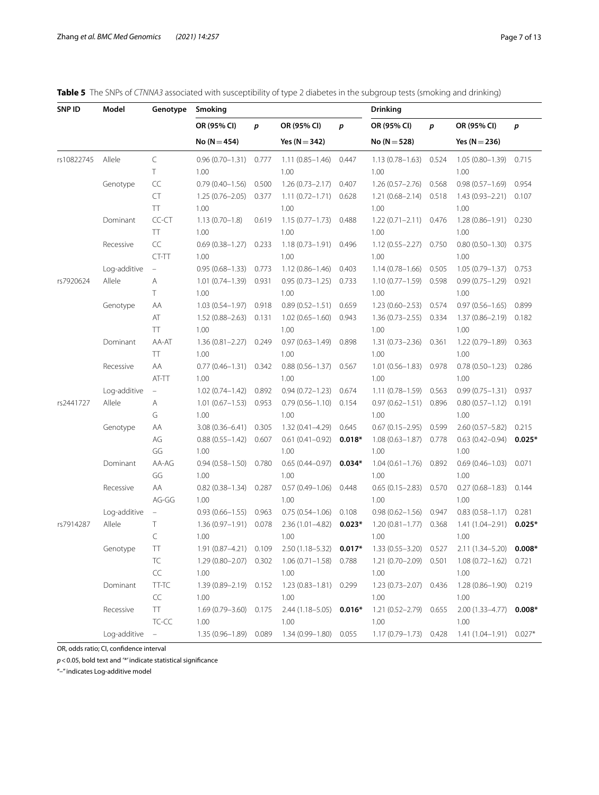<span id="page-6-0"></span>

|  |  |  |  |  |  |  | Table 5 The SNPs of CTNNA3 associated with susceptibility of type 2 diabetes in the subgroup tests (smoking and drinking) |  |
|--|--|--|--|--|--|--|---------------------------------------------------------------------------------------------------------------------------|--|
|--|--|--|--|--|--|--|---------------------------------------------------------------------------------------------------------------------------|--|

| SNP ID     | Model          | Genotype  | Smoking                   |       |                                               |          | <b>Drinking</b>                                                       |       |                                                |          |
|------------|----------------|-----------|---------------------------|-------|-----------------------------------------------|----------|-----------------------------------------------------------------------|-------|------------------------------------------------|----------|
|            |                |           | OR (95% CI)               | p     | OR (95% CI)                                   | p        | OR (95% CI)                                                           | p     | OR (95% CI)                                    | p        |
|            |                |           | $No (N = 454)$            |       | Yes ( $N = 342$ )                             |          | $No (N = 528)$                                                        |       | Yes ( $N = 236$ )                              |          |
| rs10822745 | Allele         | $\subset$ | $0.96(0.70 - 1.31)$       | 0.777 | $1.11(0.85 - 1.46)$                           | 0.447    | $1.13(0.78 - 1.63)$                                                   | 0.524 | $1.05(0.80 - 1.39)$                            | 0.715    |
|            |                | T         | 1.00                      |       | 1.00                                          |          | 1.00                                                                  |       | 1.00                                           |          |
|            | Genotype       | CC        | $0.79(0.40 - 1.56)$       | 0.500 | $1.26(0.73 - 2.17)$                           | 0.407    | $1.26(0.57 - 2.76)$                                                   | 0.568 | $0.98(0.57 - 1.69)$                            | 0.954    |
|            |                | CT        | $1.25(0.76 - 2.05)$       | 0.377 | $1.11(0.72 - 1.71)$                           | 0.628    | $1.21(0.68 - 2.14)$                                                   | 0.518 | $1.43(0.93 - 2.21)$                            | 0.107    |
|            |                | TT        | 1.00                      |       | 1.00                                          |          | 1.00                                                                  |       | 1.00                                           |          |
|            | Dominant       | CC-CT     | $1.13(0.70 - 1.8)$        | 0.619 | $1.15(0.77 - 1.73)$                           | 0.488    | $1.22(0.71 - 2.11)$ 0.476                                             |       | 1.28 (0.86-1.91) 0.230                         |          |
|            |                | TT        | 1.00                      |       | 1.00                                          |          | 1.00                                                                  |       | 1.00                                           |          |
|            | Recessive      | CC        | $0.69(0.38 - 1.27)$       | 0.233 | $1.18(0.73 - 1.91)$                           | 0.496    | $1.12(0.55 - 2.27)$                                                   | 0.750 | $0.80(0.50 - 1.30)$                            | 0.375    |
|            |                | CT-TT     | 1.00                      |       | 1.00                                          |          | 1.00                                                                  |       | 1.00                                           |          |
|            | Log-additive   | $\equiv$  | $0.95(0.68 - 1.33)$       | 0.773 | $1.12(0.86 - 1.46)$                           | 0.403    | $1.14(0.78 - 1.66)$                                                   | 0.505 | $1.05(0.79 - 1.37)$                            | 0.753    |
| rs7920624  | Allele         | Α         | $1.01(0.74 - 1.39)$       | 0.931 | $0.95(0.73 - 1.25)$                           | 0.733    | $1.10(0.77-1.59)$ 0.598                                               |       | $0.99(0.75 - 1.29)$                            | 0.921    |
|            |                | T         | 1.00                      |       | 1.00                                          |          | 1.00                                                                  |       | 1.00                                           |          |
|            | Genotype       | AA        | $1.03(0.54 - 1.97)$ 0.918 |       | $0.89(0.52 - 1.51)$                           | 0.659    | $1.23(0.60 - 2.53)$                                                   | 0.574 | $0.97(0.56 - 1.65)$                            | 0.899    |
|            |                | AT        | $1.52(0.88 - 2.63)$       | 0.131 | $1.02(0.65 - 1.60)$                           | 0.943    | 1.36 (0.73-2.55) 0.334                                                |       | $1.37(0.86 - 2.19)$                            | 0.182    |
|            |                | TT        | 1.00                      |       | 1.00                                          |          | 1.00                                                                  |       | 1.00                                           |          |
|            | Dominant       | AA-AT     | $1.36(0.81 - 2.27)$       | 0.249 | $0.97(0.63 - 1.49)$                           | 0.898    | $1.31(0.73 - 2.36)$                                                   | 0.361 | $1.22(0.79 - 1.89)$                            | 0.363    |
|            |                | TT        | 1.00                      |       | 1.00                                          |          | 1.00                                                                  |       | 1.00                                           |          |
|            | Recessive      | AA        | $0.77(0.46 - 1.31)$       | 0.342 | $0.88(0.56 - 1.37)$                           | 0.567    | $1.01(0.56 - 1.83)$                                                   | 0.978 | $0.78(0.50 - 1.23)$                            | 0.286    |
|            |                | AT-TT     | 1.00                      |       | 1.00                                          |          | 1.00                                                                  |       | 1.00                                           |          |
|            | Log-additive   | $\equiv$  | $1.02(0.74 - 1.42)$       | 0.892 | $0.94(0.72 - 1.23)$                           | 0.674    | $1.11(0.78 - 1.59)$                                                   | 0.563 | $0.99(0.75 - 1.31)$                            | 0.937    |
| rs2441727  | Allele         | Α         | $1.01(0.67 - 1.53)$       | 0.953 | $0.79(0.56 - 1.10)$                           | 0.154    | $0.97(0.62 - 1.51)$                                                   | 0.896 | $0.80(0.57 - 1.12)$                            | 0.191    |
|            |                | G         | 1.00                      |       | 1.00                                          |          | 1.00                                                                  |       | 1.00                                           |          |
|            | Genotype       | ΑA        | $3.08(0.36 - 6.41)$       | 0.305 | $1.32(0.41 - 4.29)$                           | 0.645    | $0.67(0.15 - 2.95)$                                                   | 0.599 | $2.60(0.57 - 5.82)$                            | 0.215    |
|            |                | AG        | $0.88(0.55 - 1.42)$       | 0.607 | $0.61(0.41 - 0.92)$                           | $0.018*$ | $1.08(0.63 - 1.87)$                                                   | 0.778 | $0.63(0.42 - 0.94)$                            | $0.025*$ |
|            |                | GG        | 1.00                      |       | 1.00                                          |          | 1.00                                                                  |       | 1.00                                           |          |
|            | Dominant       | AA-AG     | $0.94(0.58 - 1.50)$       | 0.780 | $0.65(0.44 - 0.97)$                           | $0.034*$ | $1.04(0.61 - 1.76)$                                                   | 0.892 | $0.69(0.46 - 1.03)$                            | 0.071    |
|            |                | GG        | 1.00                      |       | 1.00                                          |          | 1.00                                                                  |       | 1.00                                           |          |
|            | Recessive      | AA        | $0.82(0.38 - 1.34)$       | 0.287 | $0.57(0.49 - 1.06)$                           | 0.448    | $0.65(0.15 - 2.83)$                                                   | 0.570 | $0.27(0.68 - 1.83)$                            | 0.144    |
|            |                | AG-GG     | 1.00                      |       | 1.00                                          |          | 1.00                                                                  |       | 1.00                                           |          |
|            | Log-additive   | $\equiv$  | $0.93(0.66 - 1.55)$       | 0.963 | $0.75(0.54 - 1.06)$                           | 0.108    | $0.98(0.62 - 1.56)$                                                   | 0.947 | $0.83(0.58 - 1.17)$                            | 0.281    |
| rs7914287  | Allele         | Т         | $1.36(0.97 - 1.91)$       | 0.078 | $2.36(1.01 - 4.82)$                           | $0.023*$ | $1.20(0.81 - 1.77)$                                                   | 0.368 | $1.41(1.04 - 2.91)$                            | $0.025*$ |
|            |                | C         | 1.00                      |       | 1.00                                          |          | 1.00                                                                  |       | 1.00                                           |          |
|            | Genotype       | ТT        | 1.91 (0.87-4.21) 0.109    |       | 2.50 (1.18-5.32)                              | $0.017*$ | 1.33 (0.55-3.20) 0.527                                                |       | 2.11 (1.34–5.20)                               | $0.008*$ |
|            |                | TC        |                           |       | 1.29 (0.80-2.07) 0.302 1.06 (0.71-1.58) 0.788 |          |                                                                       |       | 1.21 (0.70-2.09) 0.501 1.08 (0.72-1.62) 0.721  |          |
|            |                | CC        | 1.00                      |       | 1.00                                          |          | 1.00                                                                  |       | 1.00                                           |          |
|            | Dominant       | TT-TC     |                           |       | 1.39 (0.89-2.19) 0.152 1.23 (0.83-1.81) 0.299 |          | 1.23 (0.73-2.07) 0.436                                                |       | 1.28 (0.86-1.90) 0.219                         |          |
|            |                | CC        | 1.00                      |       | 1.00                                          |          | 1.00                                                                  |       | 1.00                                           |          |
|            | Recessive      | TT.       |                           |       |                                               |          | 1.69 (0.79-3.60) 0.175 2.44 (1.18-5.05) 0.016* 1.21 (0.52-2.79) 0.655 |       | $2.00(1.33 - 4.77)$ 0.008*                     |          |
|            |                | $TC-CC$   | 1.00                      |       | 1.00                                          |          | 1.00                                                                  |       | 1.00                                           |          |
|            | Log-additive – |           |                           |       | 1.35 (0.96-1.89) 0.089 1.34 (0.99-1.80) 0.055 |          |                                                                       |       | 1.17 (0.79-1.73) 0.428 1.41 (1.04-1.91) 0.027* |          |

OR, odds ratio; CI, confdence interval

*p*<0.05, bold text and '\*' indicate statistical signifcance

"–" indicates Log-additive model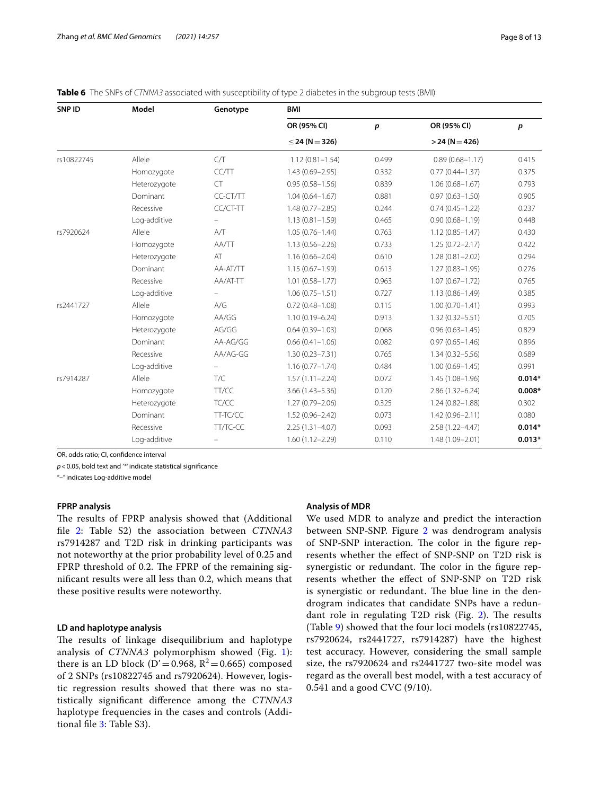| SNP ID     | Model        | Genotype  | <b>BMI</b>          |                  |                     |          |
|------------|--------------|-----------|---------------------|------------------|---------------------|----------|
|            |              |           | OR (95% CI)         | $\boldsymbol{p}$ | OR (95% CI)         | p        |
|            |              |           | $<$ 24 (N = 326)    |                  | $>$ 24 (N = 426)    |          |
| rs10822745 | Allele       | C/T       | $1.12(0.81 - 1.54)$ | 0.499            | $0.89(0.68 - 1.17)$ | 0.415    |
|            | Homozygote   | CC/TT     | $1.43(0.69 - 2.95)$ | 0.332            | $0.77(0.44 - 1.37)$ | 0.375    |
|            | Heterozygote | <b>CT</b> | $0.95(0.58 - 1.56)$ | 0.839            | $1.06(0.68 - 1.67)$ | 0.793    |
|            | Dominant     | CC-CT/TT  | $1.04(0.64 - 1.67)$ | 0.881            | $0.97(0.63 - 1.50)$ | 0.905    |
|            | Recessive    | CC/CT-TT  | $1.48(0.77 - 2.85)$ | 0.244            | $0.74(0.45 - 1.22)$ | 0.237    |
|            | Log-additive |           | $1.13(0.81 - 1.59)$ | 0.465            | $0.90(0.68 - 1.19)$ | 0.448    |
| rs7920624  | Allele       | A/T       | $1.05(0.76 - 1.44)$ | 0.763            | $1.12(0.85 - 1.47)$ | 0.430    |
|            | Homozygote   | AA/TT     | $1.13(0.56 - 2.26)$ | 0.733            | $1.25(0.72 - 2.17)$ | 0.422    |
|            | Heterozygote | AT        | $1.16(0.66 - 2.04)$ | 0.610            | $1.28(0.81 - 2.02)$ | 0.294    |
|            | Dominant     | AA-AT/TT  | $1.15(0.67 - 1.99)$ | 0.613            | $1.27(0.83 - 1.95)$ | 0.276    |
|            | Recessive    | AA/AT-TT  | $1.01(0.58 - 1.77)$ | 0.963            | $1.07(0.67 - 1.72)$ | 0.765    |
|            | Log-additive |           | $1.06(0.75 - 1.51)$ | 0.727            | $1.13(0.86 - 1.49)$ | 0.385    |
| rs2441727  | Allele       | A/G       | $0.72(0.48 - 1.08)$ | 0.115            | $1.00(0.70 - 1.41)$ | 0.993    |
|            | Homozygote   | AA/GG     | $1.10(0.19 - 6.24)$ | 0.913            | $1.32(0.32 - 5.51)$ | 0.705    |
|            | Heterozygote | AG/GG     | $0.64(0.39 - 1.03)$ | 0.068            | $0.96(0.63 - 1.45)$ | 0.829    |
|            | Dominant     | AA-AG/GG  | $0.66(0.41 - 1.06)$ | 0.082            | $0.97(0.65 - 1.46)$ | 0.896    |
|            | Recessive    | AA/AG-GG  | $1.30(0.23 - 7.31)$ | 0.765            | $1.34(0.32 - 5.56)$ | 0.689    |
|            | Log-additive |           | $1.16(0.77 - 1.74)$ | 0.484            | $1.00(0.69 - 1.45)$ | 0.991    |
| rs7914287  | Allele       | T/C       | $1.57(1.11 - 2.24)$ | 0.072            | $1.45(1.08 - 1.96)$ | $0.014*$ |
|            | Homozygote   | TT/CC     | $3.66(1.43 - 5.36)$ | 0.120            | $2.86(1.32 - 6.24)$ | $0.008*$ |
|            | Heterozygote | TC/CC     | $1.27(0.79 - 2.06)$ | 0.325            | $1.24(0.82 - 1.88)$ | 0.302    |
|            | Dominant     | TT-TC/CC  | $1.52(0.96 - 2.42)$ | 0.073            | $1.42(0.96 - 2.11)$ | 0.080    |
|            | Recessive    | TT/TC-CC  | $2.25(1.31 - 4.07)$ | 0.093            | 2.58 (1.22-4.47)    | $0.014*$ |
|            | Log-additive |           | $1.60(1.12 - 2.29)$ | 0.110            | 1.48 (1.09-2.01)    | $0.013*$ |

<span id="page-7-0"></span>

|  | Table 6 The SNPs of CTNNA3 associated with susceptibility of type 2 diabetes in the subgroup tests (BMI) |  |  |  |
|--|----------------------------------------------------------------------------------------------------------|--|--|--|
|--|----------------------------------------------------------------------------------------------------------|--|--|--|

OR, odds ratio; CI, confdence interval

*p*<0.05, bold text and '\*' indicate statistical signifcance

"–" indicates Log-additive model

# **FPRP analysis**

The results of FPRP analysis showed that (Additional fle [2](#page-10-1): Table S2) the association between *CTNNA3* rs7914287 and T2D risk in drinking participants was not noteworthy at the prior probability level of 0.25 and FPRP threshold of 0.2. The FPRP of the remaining signifcant results were all less than 0.2, which means that these positive results were noteworthy.

# **LD and haplotype analysis**

The results of linkage disequilibrium and haplotype analysis of *CTNNA3* polymorphism showed (Fig. [1\)](#page-9-1): there is an LD block (D'=0.968,  $R^2$ =0.665) composed of 2 SNPs (rs10822745 and rs7920624). However, logistic regression results showed that there was no statistically signifcant diference among the *CTNNA3* haplotype frequencies in the cases and controls (Additional fle [3:](#page-10-2) Table S3).

#### **Analysis of MDR**

We used MDR to analyze and predict the interaction between SNP-SNP. Figure [2](#page-10-3) was dendrogram analysis of SNP-SNP interaction. The color in the figure represents whether the efect of SNP-SNP on T2D risk is synergistic or redundant. The color in the figure represents whether the efect of SNP-SNP on T2D risk is synergistic or redundant. The blue line in the dendrogram indicates that candidate SNPs have a redundant role in regulating T2D risk (Fig.  $2$ ). The results (Table [9\)](#page-10-4) showed that the four loci models (rs10822745, rs7920624, rs2441727, rs7914287) have the highest test accuracy. However, considering the small sample size, the rs7920624 and rs2441727 two-site model was regard as the overall best model, with a test accuracy of 0.541 and a good CVC (9/10).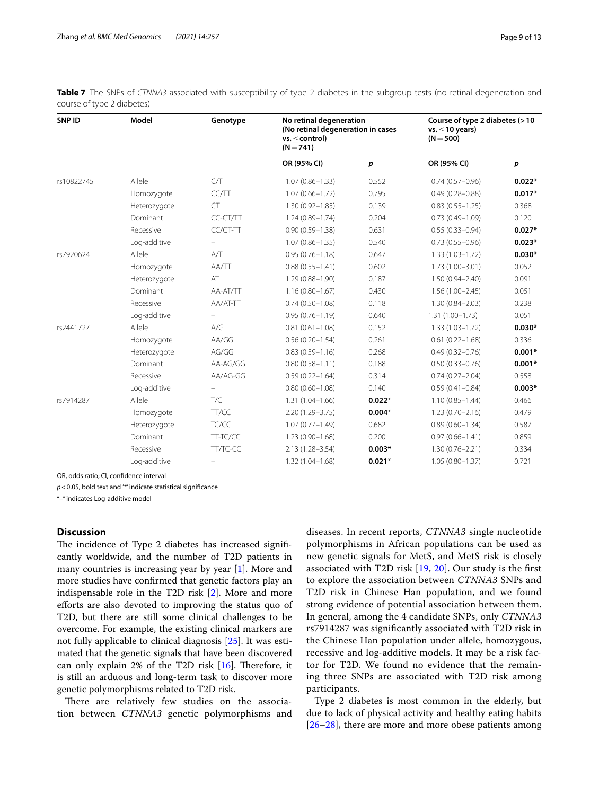| SNP ID     | Model        | Genotype          | No retinal degeneration<br>(No retinal degeneration in cases<br>$vs. <$ control)<br>$(N = 741)$ |                  | Course of type 2 diabetes (>10<br>vs. $\leq$ 10 years)<br>$(N = 500)$ |                  |  |
|------------|--------------|-------------------|-------------------------------------------------------------------------------------------------|------------------|-----------------------------------------------------------------------|------------------|--|
|            |              |                   | OR (95% CI)                                                                                     | $\boldsymbol{p}$ | OR (95% CI)                                                           | $\boldsymbol{p}$ |  |
| rs10822745 | Allele       | C/T               | $1.07(0.86 - 1.33)$                                                                             | 0.552            | $0.74(0.57 - 0.96)$                                                   | $0.022*$         |  |
|            | Homozygote   | CC/TT             | $1.07(0.66 - 1.72)$                                                                             | 0.795            | $0.49(0.28 - 0.88)$                                                   | $0.017*$         |  |
|            | Heterozygote | <b>CT</b>         | $1.30(0.92 - 1.85)$                                                                             | 0.139            | $0.83(0.55 - 1.25)$                                                   | 0.368            |  |
|            | Dominant     | CC-CT/TT          | $1.24(0.89 - 1.74)$                                                                             | 0.204            | $0.73(0.49 - 1.09)$                                                   | 0.120            |  |
|            | Recessive    | CC/CT-TT          | $0.90(0.59 - 1.38)$                                                                             | 0.631            | $0.55(0.33 - 0.94)$                                                   | $0.027*$         |  |
|            | Log-additive |                   | $1.07(0.86 - 1.35)$                                                                             | 0.540            | $0.73(0.55 - 0.96)$                                                   | $0.023*$         |  |
| rs7920624  | Allele       | A/T               | $0.95(0.76 - 1.18)$                                                                             | 0.647            | $1.33(1.03 - 1.72)$                                                   | $0.030*$         |  |
|            | Homozygote   | AA/TT             | $0.88(0.55 - 1.41)$                                                                             | 0.602            | $1.73(1.00 - 3.01)$                                                   | 0.052            |  |
|            | Heterozygote | AT                | $1.29(0.88 - 1.90)$                                                                             | 0.187            | $1.50(0.94 - 2.40)$                                                   | 0.091            |  |
|            | Dominant     | AA-AT/TT          | $1.16(0.80 - 1.67)$                                                                             | 0.430            | $1.56(1.00 - 2.45)$                                                   | 0.051            |  |
|            | Recessive    | AA/AT-TT          | $0.74(0.50 - 1.08)$                                                                             | 0.118            | $1.30(0.84 - 2.03)$                                                   | 0.238            |  |
|            | Log-additive | $\qquad \qquad -$ | $0.95(0.76 - 1.19)$                                                                             | 0.640            | $1.31(1.00 - 1.73)$                                                   | 0.051            |  |
| rs2441727  | Allele       | A/G               | $0.81(0.61 - 1.08)$                                                                             | 0.152            | $1.33(1.03 - 1.72)$                                                   | $0.030*$         |  |
|            | Homozygote   | AA/GG             | $0.56(0.20 - 1.54)$                                                                             | 0.261            | $0.61(0.22 - 1.68)$                                                   | 0.336            |  |
|            | Heterozygote | AG/GG             | $0.83(0.59 - 1.16)$                                                                             | 0.268            | $0.49(0.32 - 0.76)$                                                   | $0.001*$         |  |
|            | Dominant     | AA-AG/GG          | $0.80(0.58 - 1.11)$                                                                             | 0.188            | $0.50(0.33 - 0.76)$                                                   | $0.001*$         |  |
|            | Recessive    | AA/AG-GG          | $0.59(0.22 - 1.64)$                                                                             | 0.314            | $0.74(0.27 - 2.04)$                                                   | 0.558            |  |
|            | Log-additive |                   | $0.80(0.60 - 1.08)$                                                                             | 0.140            | $0.59(0.41 - 0.84)$                                                   | $0.003*$         |  |
| rs7914287  | Allele       | T/C               | $1.31(1.04 - 1.66)$                                                                             | $0.022*$         | $1.10(0.85 - 1.44)$                                                   | 0.466            |  |
|            | Homozygote   | TT/CC             | 2.20 (1.29-3.75)                                                                                | $0.004*$         | $1.23(0.70 - 2.16)$                                                   | 0.479            |  |
|            | Heterozygote | TC/CC             | $1.07(0.77 - 1.49)$                                                                             | 0.682            | $0.89(0.60 - 1.34)$                                                   | 0.587            |  |
|            | Dominant     | TT-TC/CC          | $1.23(0.90 - 1.68)$                                                                             | 0.200            | $0.97(0.66 - 1.41)$                                                   | 0.859            |  |
|            | Recessive    | TT/TC-CC          | 2.13 (1.28-3.54)                                                                                | $0.003*$         | $1.30(0.76 - 2.21)$                                                   | 0.334            |  |
|            | Log-additive | -                 | $1.32(1.04 - 1.68)$                                                                             | $0.021*$         | $1.05(0.80 - 1.37)$                                                   | 0.721            |  |

<span id="page-8-0"></span>**Table 7** The SNPs of *CTNNA3* associated with susceptibility of type 2 diabetes in the subgroup tests (no retinal degeneration and course of type 2 diabetes)

OR, odds ratio; CI, confdence interval

*p*<0.05, bold text and '\*' indicate statistical signifcance

"–" indicates Log-additive model

# **Discussion**

The incidence of Type 2 diabetes has increased significantly worldwide, and the number of T2D patients in many countries is increasing year by year [\[1](#page-11-0)]. More and more studies have confrmed that genetic factors play an indispensable role in the T2D risk [\[2](#page-11-15)]. More and more eforts are also devoted to improving the status quo of T2D, but there are still some clinical challenges to be overcome. For example, the existing clinical markers are not fully applicable to clinical diagnosis [[25\]](#page-11-16). It was estimated that the genetic signals that have been discovered can only explain 2% of the T2D risk  $[16]$  $[16]$  $[16]$ . Therefore, it is still an arduous and long-term task to discover more genetic polymorphisms related to T2D risk.

There are relatively few studies on the association between *CTNNA3* genetic polymorphisms and diseases. In recent reports, *CTNNA3* single nucleotide polymorphisms in African populations can be used as new genetic signals for MetS, and MetS risk is closely associated with T2D risk  $[19, 20]$  $[19, 20]$  $[19, 20]$ . Our study is the first to explore the association between *CTNNA3* SNPs and T2D risk in Chinese Han population, and we found strong evidence of potential association between them. In general, among the 4 candidate SNPs, only *CTNNA3* rs7914287 was signifcantly associated with T2D risk in the Chinese Han population under allele, homozygous, recessive and log-additive models. It may be a risk factor for T2D. We found no evidence that the remaining three SNPs are associated with T2D risk among participants.

Type 2 diabetes is most common in the elderly, but due to lack of physical activity and healthy eating habits [[26–](#page-11-17)[28\]](#page-11-18), there are more and more obese patients among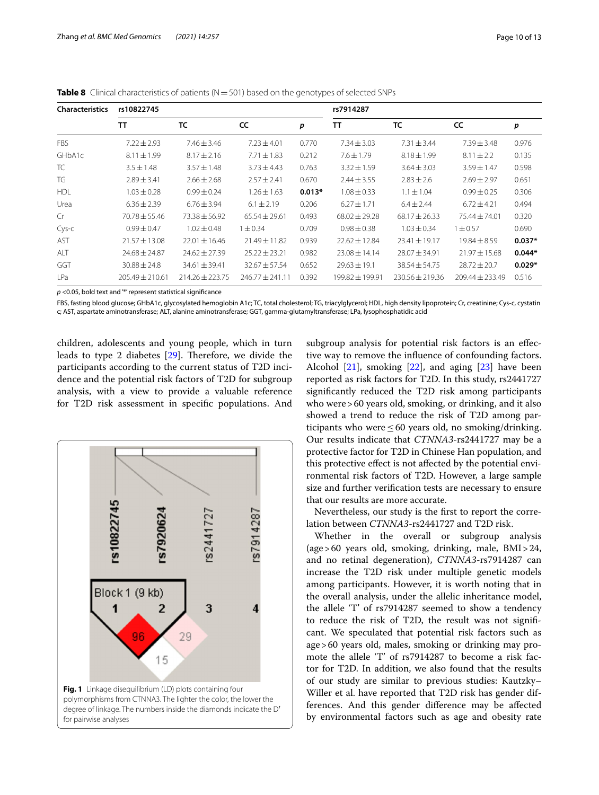| <b>Characteristics</b> | rs10822745          |                     |                     |          | rs7914287         |                     |                     |          |
|------------------------|---------------------|---------------------|---------------------|----------|-------------------|---------------------|---------------------|----------|
|                        | TT                  | TC                  | cc                  | р        | <b>TT</b>         | TC                  | cc                  | р        |
| <b>FBS</b>             | $7.22 \pm 2.93$     | $7.46 \pm 3.46$     | $7.23 \pm 4.01$     | 0.770    | $7.34 \pm 3.03$   | $7.31 \pm 3.44$     | $7.39 \pm 3.48$     | 0.976    |
| GHbA1c                 | $8.11 \pm 1.99$     | $8.17 \pm 2.16$     | $7.71 \pm 1.83$     | 0.212    | $7.6 \pm 1.79$    | $8.18 \pm 1.99$     | $8.11 \pm 2.2$      | 0.135    |
| TC                     | $3.5 \pm 1.48$      | $3.57 \pm 1.48$     | $3.73 \pm 4.43$     | 0.763    | $3.32 \pm 1.59$   | $3.64 \pm 3.03$     | $3.59 \pm 1.47$     | 0.598    |
| TG                     | $2.89 \pm 3.41$     | $2.66 \pm 2.68$     | $2.57 \pm 2.41$     | 0.670    | $2.44 \pm 3.55$   | $2.83 \pm 2.6$      | $2.69 \pm 2.97$     | 0.651    |
| <b>HDL</b>             | $1.03 \pm 0.28$     | $0.99 \pm 0.24$     | $1.26 \pm 1.63$     | $0.013*$ | $1.08 \pm 0.33$   | $1.1 \pm 1.04$      | $0.99 + 0.25$       | 0.306    |
| Urea                   | $6.36 \pm 2.39$     | $6.76 \pm 3.94$     | $6.1 \pm 2.19$      | 0.206    | $6.27 \pm 1.71$   | $6.4 \pm 2.44$      | $6.72 \pm 4.21$     | 0.494    |
| Cr                     | $70.78 \pm 55.46$   | $73.38 \pm 56.92$   | $65.54 \pm 29.61$   | 0.493    | $68.02 \pm 29.28$ | $68.17 \pm 26.33$   | $75.44 \pm 74.01$   | 0.320    |
| Cys-c                  | $0.99 \pm 0.47$     | $1.02 \pm 0.48$     | $1 \pm 0.34$        | 0.709    | $0.98 \pm 0.38$   | $1.03 \pm 0.34$     | $1 + 0.57$          | 0.690    |
| AST                    | $21.57 \pm 13.08$   | $22.01 \pm 16.46$   | $21.49 \pm 11.82$   | 0.939    | $72.62 \pm 12.84$ | $23.41 \pm 19.17$   | $19.84 \pm 8.59$    | $0.037*$ |
| AIT                    | $74.68 + 74.87$     | $74.67 + 77.39$     | $75.22 + 23.21$     | 0.982    | $23.08 \pm 14.14$ | $28.07 \pm 34.91$   | $71.97 + 15.68$     | $0.044*$ |
| GGT                    | $30.88 \pm 24.8$    | $34.61 \pm 39.41$   | $32.67 \pm 57.54$   | 0.652    | $29.63 \pm 19.1$  | $38.54 \pm 54.75$   | $28.72 \pm 20.7$    | $0.029*$ |
| LPa                    | $205.49 \pm 210.61$ | $214.26 \pm 223.75$ | $246.77 \pm 241.11$ | 0.392    | 199.82 ± 199.91   | $230.56 \pm 219.36$ | $209.44 \pm 233.49$ | 0.516    |

<span id="page-9-0"></span>**Table 8** Clinical characteristics of patients (N = 501) based on the genotypes of selected SNPs

*p* <0.05, bold text and '\*' represent statistical signifcance

FBS, fasting blood glucose; GHbA1c, glycosylated hemoglobin A1c; TC, total cholesterol; TG, triacylglycerol; HDL, high density lipoprotein; Cr, creatinine; Cys-c, cystatin c; AST, aspartate aminotransferase; ALT, alanine aminotransferase; GGT, gamma-glutamyltransferase; LPa, lysophosphatidic acid

children, adolescents and young people, which in turn leads to type 2 diabetes  $[29]$  $[29]$ . Therefore, we divide the participants according to the current status of T2D incidence and the potential risk factors of T2D for subgroup analysis, with a view to provide a valuable reference for T2D risk assessment in specifc populations. And

<span id="page-9-1"></span>

subgroup analysis for potential risk factors is an efective way to remove the infuence of confounding factors. Alcohol  $[21]$  $[21]$ , smoking  $[22]$  $[22]$  $[22]$ , and aging  $[23]$  $[23]$  $[23]$  have been reported as risk factors for T2D. In this study, rs2441727 signifcantly reduced the T2D risk among participants who were>60 years old, smoking, or drinking, and it also showed a trend to reduce the risk of T2D among participants who were  $\leq 60$  years old, no smoking/drinking. Our results indicate that *CTNNA3*-rs2441727 may be a protective factor for T2D in Chinese Han population, and this protective efect is not afected by the potential environmental risk factors of T2D. However, a large sample size and further verifcation tests are necessary to ensure that our results are more accurate.

Nevertheless, our study is the frst to report the correlation between *CTNNA3*-rs2441727 and T2D risk.

Whether in the overall or subgroup analysis (age>60 years old, smoking, drinking, male, BMI>24, and no retinal degeneration), *CTNNA3*-rs7914287 can increase the T2D risk under multiple genetic models among participants. However, it is worth noting that in the overall analysis, under the allelic inheritance model, the allele 'T' of rs7914287 seemed to show a tendency to reduce the risk of T2D, the result was not signifcant. We speculated that potential risk factors such as age>60 years old, males, smoking or drinking may promote the allele 'T' of rs7914287 to become a risk factor for T2D. In addition, we also found that the results of our study are similar to previous studies: Kautzky– Willer et al. have reported that T2D risk has gender differences. And this gender diference may be afected by environmental factors such as age and obesity rate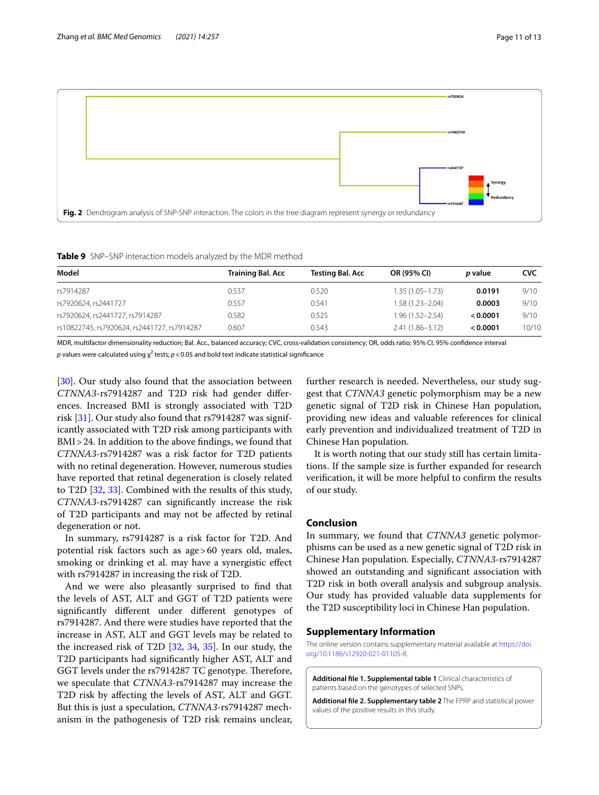

<span id="page-10-4"></span><span id="page-10-3"></span>**Table 9** SNP–SNP interaction models analyzed by the MDR method

| Training Bal. Acc | Testing Bal. Acc | OR (95% CI)         | <i>p</i> value | <b>CVC</b> |
|-------------------|------------------|---------------------|----------------|------------|
| 0.537             | 0.520            | $1.35(1.05 - 1.73)$ | 0.0191         | 9/10       |
| 0.557             | 0.541            | 1.58 (1.23-2.04)    | 0.0003         | 9/10       |
| 0.582             | 0.525            | $1.96(1.52 - 2.54)$ | < 0.0001       | 9/10       |
| 0.607             | 0.543            | $2.41(1.86 - 3.12)$ | < 0.0001       | 10/10      |
|                   |                  |                     |                |            |

MDR, multifactor dimensionality reduction; Bal. Acc., balanced accuracy; CVC, cross-validation consistency; OR, odds ratio; 95% CI, 95% confdence interval  $p$  values were calculated using  $\chi^2$  tests;  $p$  < 0.05 and bold text indicate statistical significance

[[30\]](#page-12-0). Our study also found that the association between *CTNNA3*-rs7914287 and T2D risk had gender diferences. Increased BMI is strongly associated with T2D risk [\[31](#page-12-1)]. Our study also found that rs7914287 was significantly associated with T2D risk among participants with BMI>24. In addition to the above fndings, we found that *CTNNA3*-rs7914287 was a risk factor for T2D patients with no retinal degeneration. However, numerous studies have reported that retinal degeneration is closely related to T2D [\[32](#page-12-2), [33](#page-12-3)]. Combined with the results of this study, *CTNNA3*-rs7914287 can signifcantly increase the risk of T2D participants and may not be afected by retinal degeneration or not.

In summary, rs7914287 is a risk factor for T2D. And potential risk factors such as age>60 years old, males, smoking or drinking et al. may have a synergistic efect with rs7914287 in increasing the risk of T2D.

And we were also pleasantly surprised to fnd that the levels of AST, ALT and GGT of T2D patients were signifcantly diferent under diferent genotypes of rs7914287. And there were studies have reported that the increase in AST, ALT and GGT levels may be related to the increased risk of T2D [[32,](#page-12-2) [34](#page-12-4), [35\]](#page-12-5). In our study, the T2D participants had signifcantly higher AST, ALT and GGT levels under the rs7914287 TC genotype. Therefore, we speculate that *CTNNA3*-rs7914287 may increase the T2D risk by afecting the levels of AST, ALT and GGT. But this is just a speculation, *CTNNA3*-rs7914287 mechanism in the pathogenesis of T2D risk remains unclear, further research is needed. Nevertheless, our study suggest that *CTNNA3* genetic polymorphism may be a new genetic signal of T2D risk in Chinese Han population, providing new ideas and valuable references for clinical early prevention and individualized treatment of T2D in Chinese Han population.

It is worth noting that our study still has certain limitations. If the sample size is further expanded for research verifcation, it will be more helpful to confrm the results of our study.

# **Conclusion**

In summary, we found that *CTNNA3* genetic polymorphisms can be used as a new genetic signal of T2D risk in Chinese Han population. Especially, *CTNNA3*-rs7914287 showed an outstanding and signifcant association with T2D risk in both overall analysis and subgroup analysis. Our study has provided valuable data supplements for the T2D susceptibility loci in Chinese Han population.

# **Supplementary Information**

The online version contains supplementary material available at [https://doi.](https://doi.org/10.1186/s12920-021-01105-8) [org/10.1186/s12920-021-01105-8](https://doi.org/10.1186/s12920-021-01105-8).

<span id="page-10-1"></span><span id="page-10-0"></span>**Additional fle 1. Supplemental table 1** Clinical characteristics of patients based on the genotypes of selected SNPs.

<span id="page-10-2"></span>**Additional fle 2. Supplementary table 2** The FPRP and statistical power values of the positive results in this study.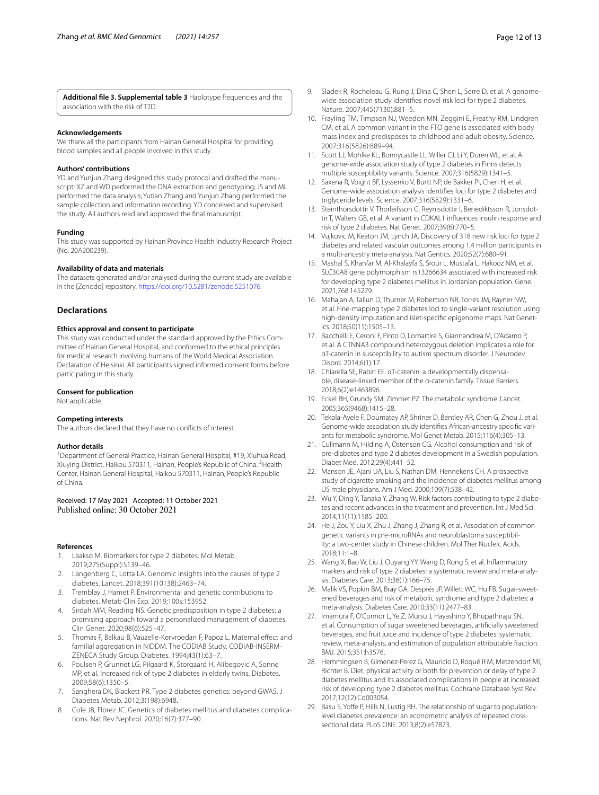**Additional fle 3. Supplemental table 3** Haplotype frequencies and the association with the risk of T2D.

#### **Acknowledgements**

We thank all the participants from Hainan General Hospital for providing blood samples and all people involved in this study.

#### **Authors' contributions**

YD and Yunjun Zhang designed this study protocol and drafted the manuscript; XZ and WD performed the DNA extraction and genotyping; JS and ML performed the data analysis; Yutian Zhang and Yunjun Zhang performed the sample collection and information recording. YD conceived and supervised the study. All authors read and approved the fnal manuscript.

#### **Funding**

This study was supported by Hainan Province Health Industry Research Project (No. 20A200239).

#### **Availability of data and materials**

The datasets generated and/or analysed during the current study are available in the [Zenodo] repository, <https://doi.org/10.5281/zenodo.5251076>.

#### **Declarations**

#### **Ethics approval and consent to participate**

This study was conducted under the standard approved by the Ethics Committee of Hainan General Hospital, and conformed to the ethical principles for medical research involving humans of the World Medical Association Declaration of Helsinki. All participants signed informed consent forms before participating in this study.

#### **Consent for publication**

Not applicable.

#### **Competing interests**

The authors declared that they have no conficts of interest.

#### **Author details**

<sup>1</sup> Department of General Practice, Hainan General Hospital, #19, Xiuhua Road, Xiuying District, Haikou 570311, Hainan, People's Republic of China. <sup>2</sup> Health Center, Hainan General Hospital, Haikou 570311, Hainan, People's Republic of China.

Received: 17 May 2021 Accepted: 11 October 2021

#### **References**

- <span id="page-11-0"></span>Laakso M. Biomarkers for type 2 diabetes. Mol Metab. 2019;27S(Suppl):S139–46.
- <span id="page-11-15"></span>2. Langenberg C, Lotta LA. Genomic insights into the causes of type 2 diabetes. Lancet. 2018;391(10138):2463–74.
- 3. Tremblay J, Hamet P. Environmental and genetic contributions to diabetes. Metab Clin Exp. 2019;100s:153952.
- <span id="page-11-1"></span>4. Sirdah MM, Reading NS. Genetic predisposition in type 2 diabetes: a promising approach toward a personalized management of diabetes. Clin Genet. 2020;98(6):525–47.
- <span id="page-11-2"></span>5. Thomas F, Balkau B, Vauzelle-Kervroedan F, Papoz L. Maternal efect and familial aggregation in NIDDM. The CODIAB Study. CODIAB-INSERM-ZENECA Study Group. Diabetes. 1994;43(1):63–7.
- 6. Poulsen P, Grunnet LG, Pilgaard K, Storgaard H, Alibegovic A, Sonne MP, et al. Increased risk of type 2 diabetes in elderly twins. Diabetes. 2009;58(6):1350–5.
- 7. Sanghera DK, Blackett PR. Type 2 diabetes genetics: beyond GWAS. J Diabetes Metab. 2012;3(198):6948.
- <span id="page-11-3"></span>8. Cole JB, Florez JC. Genetics of diabetes mellitus and diabetes complications. Nat Rev Nephrol. 2020;16(7):377–90.
- <span id="page-11-4"></span>9. Sladek R, Rocheleau G, Rung J, Dina C, Shen L, Serre D, et al. A genomewide association study identifes novel risk loci for type 2 diabetes. Nature. 2007;445(7130):881–5.
- 10. Frayling TM, Timpson NJ, Weedon MN, Zeggini E, Freathy RM, Lindgren CM, et al. A common variant in the FTO gene is associated with body mass index and predisposes to childhood and adult obesity. Science. 2007;316(5826):889–94.
- 11. Scott LJ, Mohlke KL, Bonnycastle LL, Willer CJ, Li Y, Duren WL, et al. A genome-wide association study of type 2 diabetes in Finns detects multiple susceptibility variants. Science. 2007;316(5829):1341–5.
- 12. Saxena R, Voight BF, Lyssenko V, Burtt NP, de Bakker PI, Chen H, et al. Genome-wide association analysis identifes loci for type 2 diabetes and triglyceride levels. Science. 2007;316(5829):1331–6.
- 13. Steinthorsdottir V, Thorleifsson G, Reynisdottir I, Benediktsson R, Jonsdottir T, Walters GB, et al. A variant in CDKAL1 infuences insulin response and risk of type 2 diabetes. Nat Genet. 2007;39(6):770–5.
- 14. Vujkovic M, Keaton JM, Lynch JA. Discovery of 318 new risk loci for type 2 diabetes and related vascular outcomes among 1.4 million participants in a multi-ancestry meta-analysis. Nat Gentics. 2020;52(7):680–91.
- <span id="page-11-5"></span>15. Mashal S, Khanfar M, Al-Khalayfa S, Srour L, Mustafa L, Hakooz NM, et al. SLC30A8 gene polymorphism rs13266634 associated with increased risk for developing type 2 diabetes mellitus in Jordanian population. Gene. 2021;768:145279.
- <span id="page-11-6"></span>16. Mahajan A, Taliun D, Thurner M, Robertson NR, Torres JM, Rayner NW, et al. Fine-mapping type 2 diabetes loci to single-variant resolution using high-density imputation and islet-specifc epigenome maps. Nat Genetics. 2018;50(11):1505–13.
- <span id="page-11-7"></span>17. Bacchelli E, Ceroni F, Pinto D, Lomartire S, Giannandrea M, D'Adamo P, et al. A CTNNA3 compound heterozygous deletion implicates a role for αT-catenin in susceptibility to autism spectrum disorder. J Neurodev Disord. 2014;6(1):17.
- <span id="page-11-8"></span>18. Chiarella SE, Rabin EE. αT-catenin: a developmentally dispensable, disease-linked member of the α-catenin family. Tissue Barriers. 2018;6(2):e1463896.
- <span id="page-11-9"></span>19. Eckel RH, Grundy SM, Zimmet PZ. The metabolic syndrome. Lancet. 2005;365(9468):1415–28.
- <span id="page-11-10"></span>20. Tekola-Ayele F, Doumatey AP, Shriner D, Bentley AR, Chen G, Zhou J, et al. Genome-wide association study identifes African-ancestry specifc variants for metabolic syndrome. Mol Genet Metab. 2015;116(4):305–13.
- <span id="page-11-11"></span>21. Cullmann M, Hilding A, Östenson CG. Alcohol consumption and risk of pre-diabetes and type 2 diabetes development in a Swedish population. Diabet Med. 2012;29(4):441–52.
- <span id="page-11-12"></span>22. Manson JE, Ajani UA, Liu S, Nathan DM, Hennekens CH. A prospective study of cigarette smoking and the incidence of diabetes mellitus among US male physicians. Am J Med. 2000;109(7):538–42.
- <span id="page-11-13"></span>23. Wu Y, Ding Y, Tanaka Y, Zhang W. Risk factors contributing to type 2 diabetes and recent advances in the treatment and prevention. Int J Med Sci. 2014;11(11):1185–200.
- <span id="page-11-14"></span>24. He J, Zou Y, Liu X, Zhu J, Zhang J, Zhang R, et al. Association of common genetic variants in pre-microRNAs and neuroblastoma susceptibility: a two-center study in Chinese children. Mol Ther Nucleic Acids. 2018;11:1–8.
- <span id="page-11-16"></span>25. Wang X, Bao W, Liu J, Ouyang YY, Wang D, Rong S, et al. Infammatory markers and risk of type 2 diabetes: a systematic review and meta-analysis. Diabetes Care. 2013;36(1):166–75.
- <span id="page-11-17"></span>26. Malik VS, Popkin BM, Bray GA, Després JP, Willett WC, Hu FB. Sugar-sweetened beverages and risk of metabolic syndrome and type 2 diabetes: a meta-analysis. Diabetes Care. 2010;33(11):2477–83.
- 27. Imamura F, O'Connor L, Ye Z, Mursu J, Hayashino Y, Bhupathiraju SN, et al. Consumption of sugar sweetened beverages, artifcially sweetened beverages, and fruit juice and incidence of type 2 diabetes: systematic review, meta-analysis, and estimation of population attributable fraction. BMJ. 2015;351:h3576.
- <span id="page-11-18"></span>28. Hemmingsen B, Gimenez-Perez G, Mauricio D, Roqué IFM, Metzendorf MI, Richter B. Diet, physical activity or both for prevention or delay of type 2 diabetes mellitus and its associated complications in people at increased risk of developing type 2 diabetes mellitus. Cochrane Database Syst Rev. 2017;12(12):Cd003054.
- <span id="page-11-19"></span>29. Basu S, Yoffe P, Hills N, Lustig RH. The relationship of sugar to populationlevel diabetes prevalence: an econometric analysis of repeated crosssectional data. PLoS ONE. 2013;8(2):e57873.